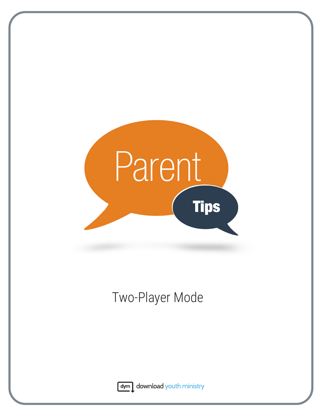

## Two-Player Mode



dym download youth ministry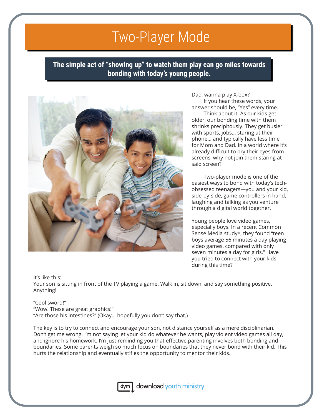## Two-Player Mode

**The simple act of "showing up" to watch them play can go miles towards bonding with today's young people.**



Dad, wanna play X-box?

If you hear these words, your answer should be, "Yes" every time.

Think about it. As our kids get older, our bonding time with them shrinks precipitously. They get busier with sports, jobs… staring at their phone… and typically have less time for Mom and Dad. In a world where it's already difficult to pry their eyes from screens, why not join them staring at said screen?

Two-player mode is one of the easiest ways to bond with today's techobsessed teenagers—you and your kid, side-by-side, game controllers in hand, laughing and talking as you venture through a digital world together.

Young people love video games, especially boys. In a recent Common Sense Media study\*, they found "teen boys average 56 minutes a day playing video games, compared with only seven minutes a day for girls." Have you tried to connect with your kids during this time?

It's like this:

Your son is sitting in front of the TV playing a game. Walk in, sit down, and say something positive. Anything!

## "Cool sword!"

"Wow! These are great graphics!" "Are those his intestines?" (Okay… hopefully you don't say that.)

The key is to try to connect and encourage your son, not distance yourself as a mere disciplinarian. Don't get me wrong. I'm not saying let your kid do whatever he wants, play violent video games all day, and ignore his homework. I'm just reminding you that effective parenting involves both bonding and boundaries. Some parents weigh so much focus on boundaries that they never bond with their kid. This hurts the relationship and eventually stifles the opportunity to mentor their kids.